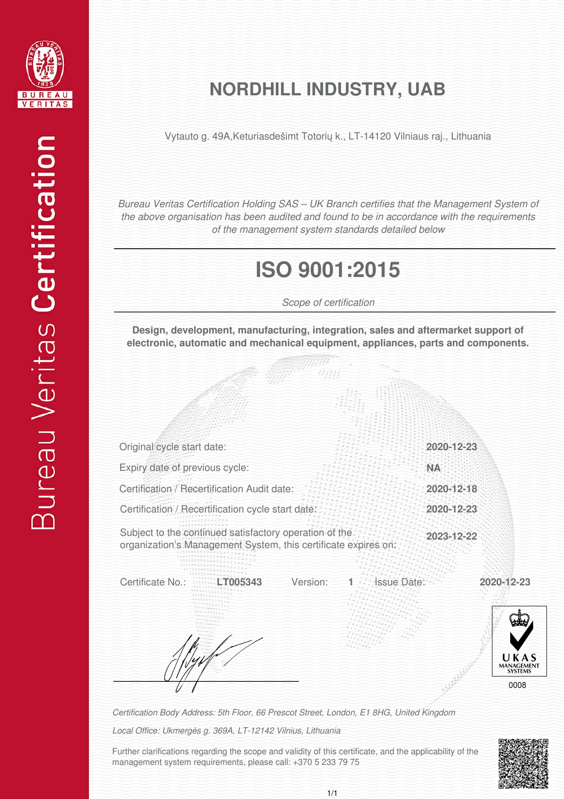

#### **NORDHILL INDUSTRY, UAB**

Vytauto g. 49A,Keturiasdešimt Totorių k., LT-14120 Vilniaus raj., Lithuania

*Bureau Veritas Certification Holding SAS – UK Branch certifies that the Management System of the above organisation has been audited and found to be in accordance with the requirements of the management system standards detailed below*

## **ISO 9001:2015**

*Scope of certification*

**Design, development, manufacturing, integration, sales and aftermarket support of electronic, automatic and mechanical equipment, appliances, parts and components.**

| Original cycle start date:                                                                                               |                                | 2020-12-23 |                                       |
|--------------------------------------------------------------------------------------------------------------------------|--------------------------------|------------|---------------------------------------|
| Expiry date of previous cycle:                                                                                           |                                | <b>NA</b>  |                                       |
| Certification / Recertification Audit date:                                                                              |                                | 2020-12-18 |                                       |
| Certification / Recertification cycle start date:                                                                        |                                | 2020-12-23 |                                       |
| Subject to the continued satisfactory operation of the<br>organization's Management System, this certificate expires on: |                                | 2023-12-22 |                                       |
| Certificate No.:<br>105343                                                                                               | Version:<br><b>Issue Date:</b> | 2020-12-23 | UKAS<br>MANAGEMENT<br>SYSTEMS<br>0008 |

*Certification Body Address: 5th Floor, 66 Prescot Street, London, E1 8HG, United Kingdom*

*Local Office: Ukmergės g. 369A, LT-12142 Vilnius, Lithuania*

Further clarifications regarding the scope and validity of this certificate, and the applicability of the management system requirements, please call: +370 5 233 79 75

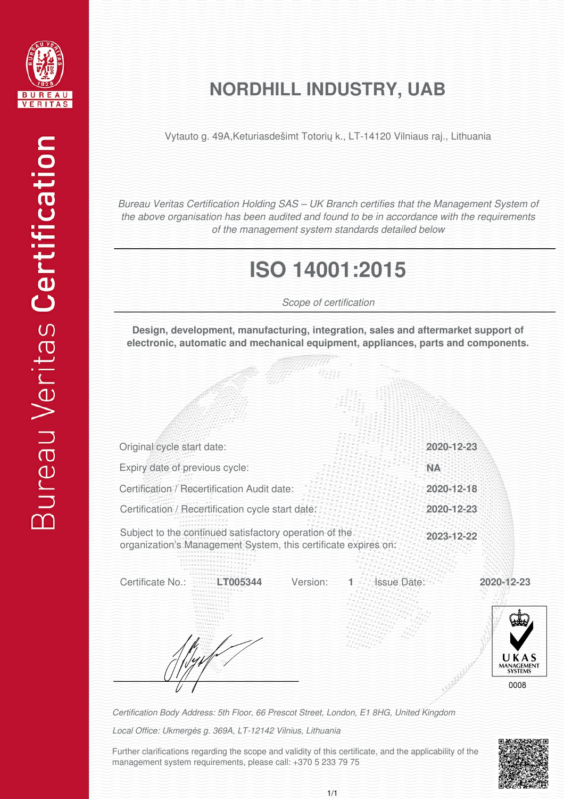

#### **NORDHILL INDUSTRY, UAB**

Vytauto g. 49A,Keturiasdešimt Totorių k., LT-14120 Vilniaus raj., Lithuania

*Bureau Veritas Certification Holding SAS – UK Branch certifies that the Management System of the above organisation has been audited and found to be in accordance with the requirements of the management system standards detailed below*

# **ISO 14001:2015**

*Scope of certification*

**Design, development, manufacturing, integration, sales and aftermarket support of electronic, automatic and mechanical equipment, appliances, parts and components.**

| Original cycle start date:                                                                                               | 2020-12-23         |                                             |
|--------------------------------------------------------------------------------------------------------------------------|--------------------|---------------------------------------------|
| Expiry date of previous cycle:                                                                                           | <b>NA</b>          |                                             |
| Certification / Recertification Audit date:                                                                              | 2020-12-18         |                                             |
| Certification / Recertification cycle start date:                                                                        | 2020-12-23         |                                             |
| Subject to the continued satisfactory operation of the<br>organization's Management System, this certificate expires on: | 2023-12-22         |                                             |
| Certificate No.:<br>Version:                                                                                             | <b>Issue Date:</b> | 2020-12-23<br>UKAS<br>MANAGEMENT<br>SYSTEMS |

*Certification Body Address: 5th Floor, 66 Prescot Street, London, E1 8HG, United Kingdom*

*Local Office: Ukmergės g. 369A, LT-12142 Vilnius, Lithuania*

Further clarifications regarding the scope and validity of this certificate, and the applicability of the management system requirements, please call: +370 5 233 79 75